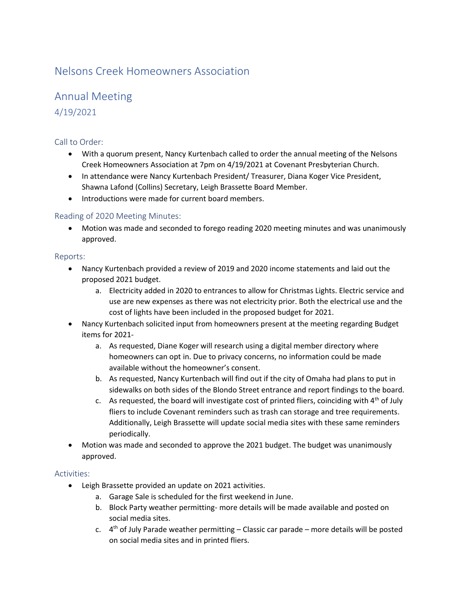# Nelsons Creek Homeowners Association

# Annual Meeting 4/19/2021

## Call to Order:

- With a quorum present, Nancy Kurtenbach called to order the annual meeting of the Nelsons Creek Homeowners Association at 7pm on 4/19/2021 at Covenant Presbyterian Church.
- In attendance were Nancy Kurtenbach President/ Treasurer, Diana Koger Vice President, Shawna Lafond (Collins) Secretary, Leigh Brassette Board Member.
- Introductions were made for current board members.

### Reading of 2020 Meeting Minutes:

• Motion was made and seconded to forego reading 2020 meeting minutes and was unanimously approved.

#### Reports:

- Nancy Kurtenbach provided a review of 2019 and 2020 income statements and laid out the proposed 2021 budget.
	- a. Electricity added in 2020 to entrances to allow for Christmas Lights. Electric service and use are new expenses as there was not electricity prior. Both the electrical use and the cost of lights have been included in the proposed budget for 2021.
- Nancy Kurtenbach solicited input from homeowners present at the meeting regarding Budget items for 2021
	- a. As requested, Diane Koger will research using a digital member directory where homeowners can opt in. Due to privacy concerns, no information could be made available without the homeowner's consent.
	- b. As requested, Nancy Kurtenbach will find out if the city of Omaha had plans to put in sidewalks on both sides of the Blondo Street entrance and report findings to the board.
	- c. As requested, the board will investigate cost of printed fliers, coinciding with  $4<sup>th</sup>$  of July fliers to include Covenant reminders such as trash can storage and tree requirements. Additionally, Leigh Brassette will update social media sites with these same reminders periodically.
- Motion was made and seconded to approve the 2021 budget. The budget was unanimously approved.

#### Activities:

- Leigh Brassette provided an update on 2021 activities.
	- a. Garage Sale is scheduled for the first weekend in June.
	- b. Block Party weather permitting- more details will be made available and posted on social media sites.
	- c.  $4<sup>th</sup>$  of July Parade weather permitting Classic car parade more details will be posted on social media sites and in printed fliers.